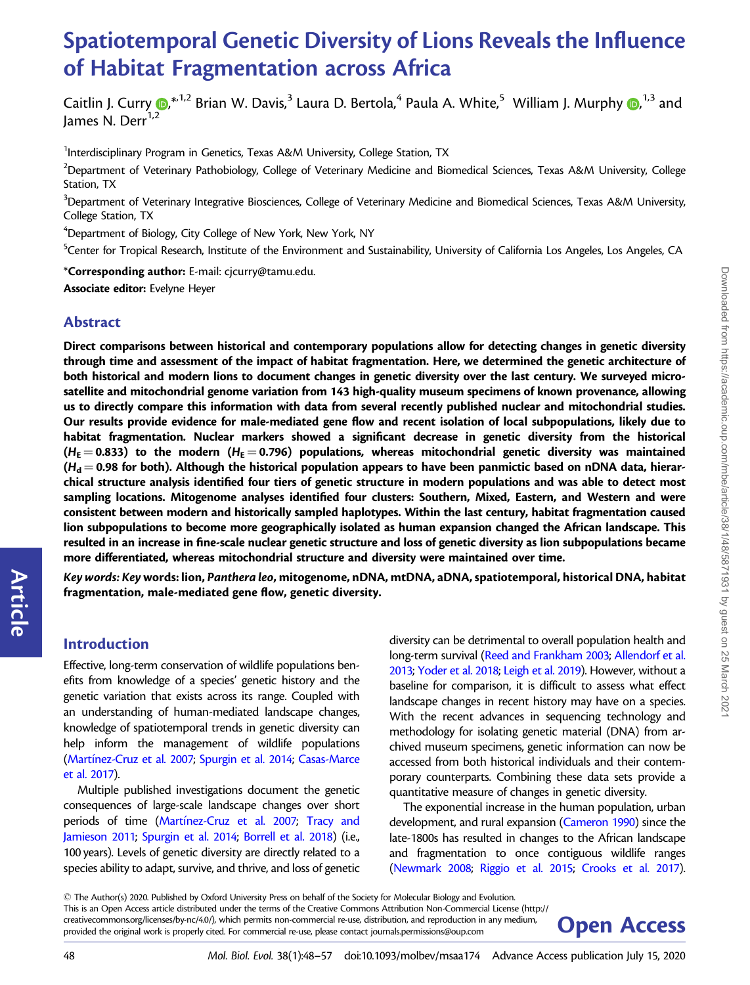# Spatiotemporal Genetic Diversity of Lions Reveals the Influence of Habitat Fragmentation across Africa

Caitlin J. Curry  $\bm{\odot}^{*,1,2}$  $\bm{\odot}^{*,1,2}$  $\bm{\odot}^{*,1,2}$  Brian W. Davis, $^3$  Laura D. Bertola, $^4$  Paula A. White, $^5\,$  William J. Murphy  $\bm{\odot}^{1,3}$  and lames N. Derr $^{1,2}$ 

<sup>1</sup>Interdisciplinary Program in Genetics, Texas A&M University, College Station, TX

 $^2$ Department of Veterinary Pathobiology, College of Veterinary Medicine and Biomedical Sciences, Texas A&M University, College Station, TX

 $^3$ Department of Veterinary Integrative Biosciences, College of Veterinary Medicine and Biomedical Sciences, Texas A&M University, College Station, TX

4 Department of Biology, City College of New York, New York, NY

<sup>5</sup>Center for Tropical Research, Institute of the Environment and Sustainability, University of California Los Angeles, Los Angeles, CA

\*Corresponding author: E-mail: cjcurry@tamu.edu. Associate editor: Evelyne Heyer

## Abstract

Direct comparisons between historical and contemporary populations allow for detecting changes in genetic diversity through time and assessment of the impact of habitat fragmentation. Here, we determined the genetic architecture of both historical and modern lions to document changes in genetic diversity over the last century. We surveyed microsatellite and mitochondrial genome variation from 143 high-quality museum specimens of known provenance, allowing us to directly compare this information with data from several recently published nuclear and mitochondrial studies. Our results provide evidence for male-mediated gene flow and recent isolation of local subpopulations, likely due to habitat fragmentation. Nuclear markers showed a significant decrease in genetic diversity from the historical  $(H_{\rm E} = 0.833)$  to the modern ( $H_{\rm E} = 0.796$ ) populations, whereas mitochondrial genetic diversity was maintained  $(H_d = 0.98$  for both). Although the historical population appears to have been panmictic based on nDNA data, hierarchical structure analysis identified four tiers of genetic structure in modern populations and was able to detect most sampling locations. Mitogenome analyses identified four clusters: Southern, Mixed, Eastern, and Western and were consistent between modern and historically sampled haplotypes. Within the last century, habitat fragmentation caused lion subpopulations to become more geographically isolated as human expansion changed the African landscape. This resulted in an increase in fine-scale nuclear genetic structure and loss of genetic diversity as lion subpopulations became more differentiated, whereas mitochondrial structure and diversity were maintained over time.

Key words: Keywords: lion, Panthera leo, mitogenome, nDNA, mtDNA, aDNA, spatiotemporal, historical DNA, habitat fragmentation, male-mediated gene flow, genetic diversity.

## Introduction

Article

Effective, long-term conservation of wildlife populations benefits from knowledge of a species' genetic history and the genetic variation that exists across its range. Coupled with an understanding of human-mediated landscape changes, knowledge of spatiotemporal trends in genetic diversity can help inform the management of wildlife populations ([Mart](#page-8-0)ínez-Cruz et al. 2007; [Spurgin et al. 2014](#page-9-0); [Casas-Marce](#page-7-0) [et al. 2017](#page-7-0)).

Multiple published investigations document the genetic consequences of large-scale landscape changes over short periods of time [\(Mart](#page-8-0)í[nez-Cruz et al. 2007](#page-8-0); [Tracy and](#page-9-0) [Jamieson 2011](#page-9-0); [Spurgin et al. 2014](#page-9-0); [Borrell et al. 2018](#page-7-0)) (i.e., 100 years). Levels of genetic diversity are directly related to a species ability to adapt, survive, and thrive, and loss of genetic diversity can be detrimental to overall population health and long-term survival [\(Reed and Frankham 2003;](#page-8-0) [Allendorf et al.](#page-7-0) [2013;](#page-7-0) [Yoder et al. 2018;](#page-9-0) [Leigh et al. 2019](#page-8-0)). However, without a baseline for comparison, it is difficult to assess what effect landscape changes in recent history may have on a species. With the recent advances in sequencing technology and methodology for isolating genetic material (DNA) from archived museum specimens, genetic information can now be accessed from both historical individuals and their contemporary counterparts. Combining these data sets provide a quantitative measure of changes in genetic diversity.

The exponential increase in the human population, urban development, and rural expansion [\(Cameron 1990](#page-7-0)) since the late-1800s has resulted in changes to the African landscape and fragmentation to once contiguous wildlife ranges [\(Newmark 2008](#page-8-0); [Riggio et al. 2015](#page-8-0); [Crooks et al. 2017\)](#page-7-0).

<sup>-</sup> The Author(s) 2020. Published by Oxford University Press on behalf of the Society for Molecular Biology and Evolution. This is an Open Access article distributed under the terms of the Creative Commons Attribution Non-Commercial License (http:// creativecommons.org/licenses/by-nc/4.0/), which permits non-commercial re-use, distribution, and reproduction in any medium, **Open Access** 

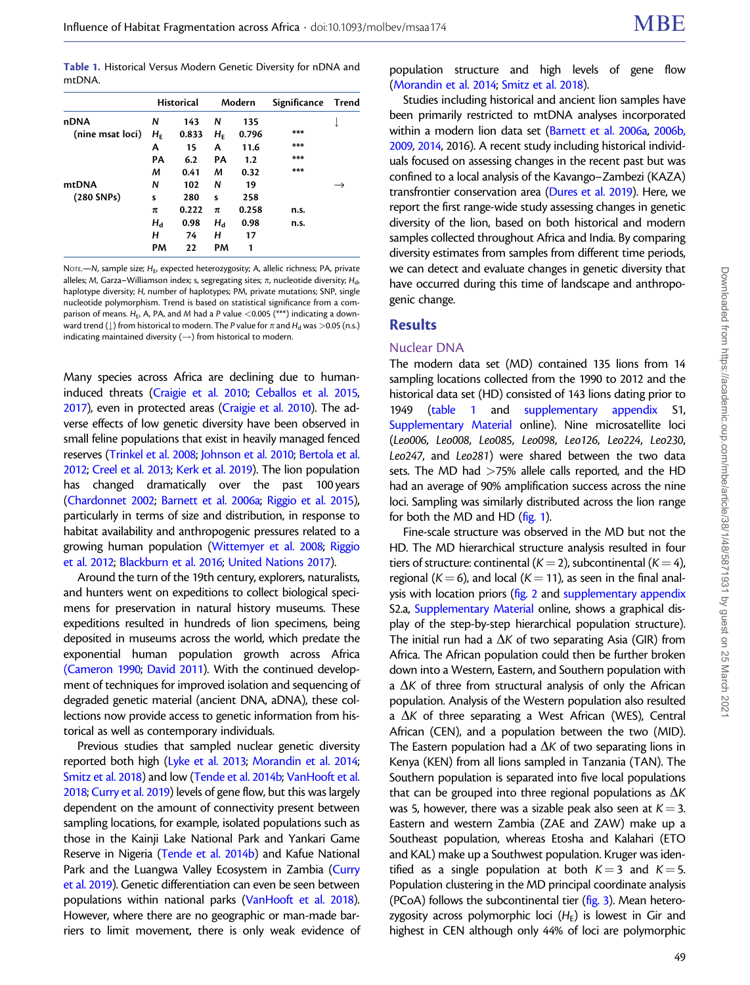<span id="page-1-0"></span>Table 1. Historical Versus Modern Genetic Diversity for nDNA and mtDNA.

| nDNA             | <b>Historical</b> |       | Modern                        |       | Significance | Trend |
|------------------|-------------------|-------|-------------------------------|-------|--------------|-------|
|                  | N                 | 143   | N                             | 135   |              |       |
| (nine msat loci) | $H_{\rm F}$       | 0.833 | $H_{\scriptscriptstyle\rm F}$ | 0.796 | ***          |       |
|                  | А                 | 15    | A                             | 11.6  | ***          |       |
|                  | PA                | 6.2   | PA                            | 1.2   | ***          |       |
|                  | М                 | 0.41  | M                             | 0.32  | ***          |       |
| mtDNA            | N                 | 102   | N                             | 19    |              |       |
| $(280$ SNPs)     | S                 | 280   | s                             | 258   |              |       |
|                  | π                 | 0.222 | π                             | 0.258 | n.s.         |       |
|                  | $H_d$             | 0.98  | $H_d$                         | 0.98  | n.s.         |       |
|                  | н                 | 74    | н                             | 17    |              |       |
|                  | PМ                | 22    | PM                            | 1     |              |       |

NOTE.—N, sample size;  $H_E$ , expected heterozygosity; A, allelic richness; PA, private alleles; M, Garza-Williamson index; s, segregating sites;  $\pi$ , nucleotide diversity;  $H_{\rm{d}}$ , haplotype diversity; H, number of haplotypes; PM, private mutations; SNP, single nucleotide polymorphism. Trend is based on statistical significance from a comparison of means.  $H_E$ , A, PA, and M had a P value <0.005 (\*\*\*) indicating a downward trend ( $\parallel$ ) from historical to modern. The P value for  $\pi$  and  $H_d$  was  $>$ 0.05 (n.s.) indicating maintained diversity  $(\rightarrow)$  from historical to modern.

Many species across Africa are declining due to humaninduced threats ([Craigie et al. 2010;](#page-7-0) [Ceballos et al. 2015,](#page-7-0) [2017\)](#page-7-0), even in protected areas ([Craigie et al. 2010\)](#page-7-0). The adverse effects of low genetic diversity have been observed in small feline populations that exist in heavily managed fenced reserves ([Trinkel et al. 2008](#page-9-0); [Johnson et al. 2010](#page-8-0); [Bertola et al.](#page-7-0) [2012;](#page-7-0) [Creel et al. 2013;](#page-7-0) [Kerk et al. 2019](#page-8-0)). The lion population has changed dramatically over the past 100 years ([Chardonnet 2002;](#page-7-0) [Barnett et al. 2006a;](#page-7-0) [Riggio et al. 2015\)](#page-8-0), particularly in terms of size and distribution, in response to habitat availability and anthropogenic pressures related to a growing human population [\(Wittemyer et al. 2008](#page-9-0); [Riggio](#page-8-0) [et al. 2012](#page-8-0); [Blackburn et al. 2016;](#page-7-0) [United Nations 2017](#page-9-0)).

Around the turn of the 19th century, explorers, naturalists, and hunters went on expeditions to collect biological specimens for preservation in natural history museums. These expeditions resulted in hundreds of lion specimens, being deposited in museums across the world, which predate the exponential human population growth across Africa [\(Cameron 1990;](#page-7-0) [David 2011](#page-8-0)). With the continued development of techniques for improved isolation and sequencing of degraded genetic material (ancient DNA, aDNA), these collections now provide access to genetic information from historical as well as contemporary individuals.

Previous studies that sampled nuclear genetic diversity reported both high [\(Lyke et al. 2013](#page-8-0); [Morandin et al. 2014;](#page-8-0) [Smitz et al. 2018\)](#page-8-0) and low [\(Tende et al. 2014b;](#page-9-0) [VanHooft et al.](#page-9-0) [2018;](#page-9-0) [Curry et al. 2019\)](#page-7-0) levels of gene flow, but this was largely dependent on the amount of connectivity present between sampling locations, for example, isolated populations such as those in the Kainji Lake National Park and Yankari Game Reserve in Nigeria [\(Tende et al. 2014b\)](#page-9-0) and Kafue National Park and the Luangwa Valley Ecosystem in Zambia [\(Curry](#page-7-0) [et al. 2019\)](#page-7-0). Genetic differentiation can even be seen between populations within national parks [\(VanHooft et al. 2018\)](#page-9-0). However, where there are no geographic or man-made barriers to limit movement, there is only weak evidence of population structure and high levels of gene flow [\(Morandin et al. 2014](#page-8-0); [Smitz et al. 2018](#page-8-0)).

Studies including historical and ancient lion samples have been primarily restricted to mtDNA analyses incorporated within a modern lion data set [\(Barnett et al. 2006a](#page-7-0), [2006b,](#page-7-0) [2009,](#page-7-0) [2014](#page-7-0), 2016). A recent study including historical individuals focused on assessing changes in the recent past but was confined to a local analysis of the Kavango–Zambezi (KAZA) transfrontier conservation area [\(Dures et al. 2019](#page-8-0)). Here, we report the first range-wide study assessing changes in genetic diversity of the lion, based on both historical and modern samples collected throughout Africa and India. By comparing diversity estimates from samples from different time periods, we can detect and evaluate changes in genetic diversity that have occurred during this time of landscape and anthropogenic change.

#### **Results**

#### Nuclear DNA

The modern data set (MD) contained 135 lions from 14 sampling locations collected from the 1990 to 2012 and the historical data set (HD) consisted of 143 lions dating prior to 1949 (table 1 and supplementary appendix S1, Supplementary Material online). Nine microsatellite loci (Leo006, Leo008, Leo085, Leo098, Leo126, Leo224, Leo230, Leo247, and Leo281) were shared between the two data sets. The MD had >75% allele calls reported, and the HD had an average of 90% amplification success across the nine loci. Sampling was similarly distributed across the lion range for both the MD and HD [\(fig. 1](#page-2-0)).

Fine-scale structure was observed in the MD but not the HD. The MD hierarchical structure analysis resulted in four tiers of structure: continental ( $K = 2$ ), subcontinental ( $K = 4$ ), regional ( $K = 6$ ), and local ( $K = 11$ ), as seen in the final anal-ysis with location priors [\(fig. 2](#page-2-0) and supplementary appendix S2.a, Supplementary Material online, shows a graphical display of the step-by-step hierarchical population structure). The initial run had a  $\Delta K$  of two separating Asia (GIR) from Africa. The African population could then be further broken down into a Western, Eastern, and Southern population with a  $\Delta$ K of three from structural analysis of only the African population. Analysis of the Western population also resulted a  $\Delta K$  of three separating a West African (WES), Central African (CEN), and a population between the two (MID). The Eastern population had a  $\Delta K$  of two separating lions in Kenya (KEN) from all lions sampled in Tanzania (TAN). The Southern population is separated into five local populations that can be grouped into three regional populations as  $\Delta K$ was 5, however, there was a sizable peak also seen at  $K = 3$ . Eastern and western Zambia (ZAE and ZAW) make up a Southeast population, whereas Etosha and Kalahari (ETO and KAL) make up a Southwest population. Kruger was identified as a single population at both  $K=3$  and  $K=5$ . Population clustering in the MD principal coordinate analysis (PCoA) follows the subcontinental tier [\(fig. 3](#page-3-0)). Mean heterozygosity across polymorphic loci  $(H_F)$  is lowest in Gir and highest in CEN although only 44% of loci are polymorphic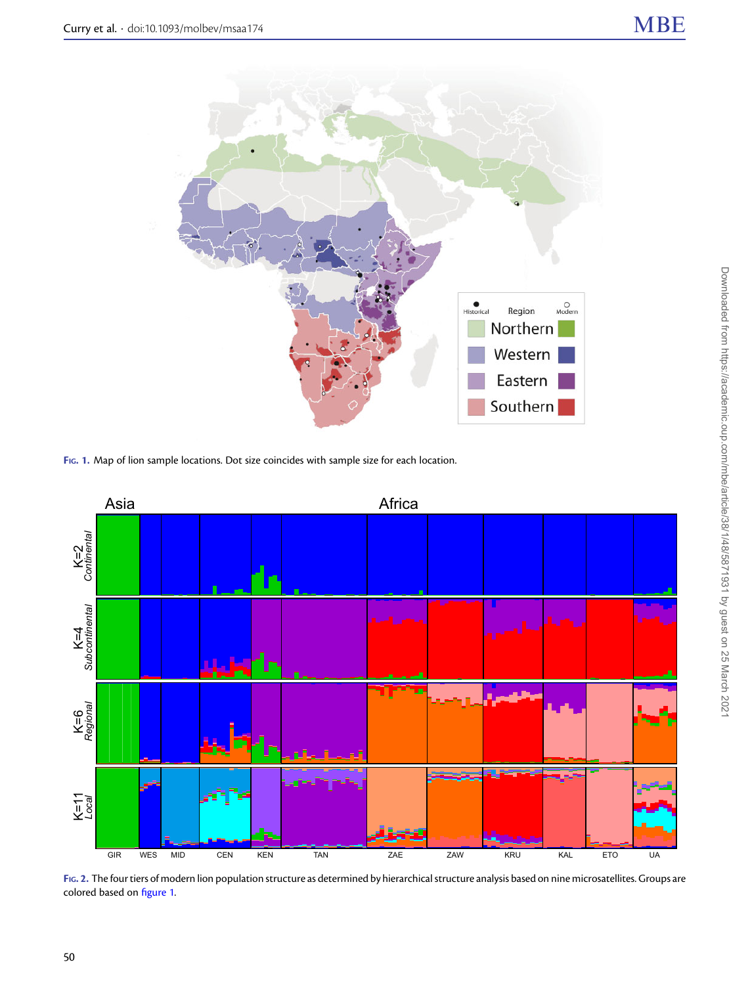<span id="page-2-0"></span>

FIG. 1. Map of lion sample locations. Dot size coincides with sample size for each location.



FIG. 2. The four tiers of modern lion population structure as determined by hierarchical structure analysis based on nine microsatellites. Groups are colored based on figure 1.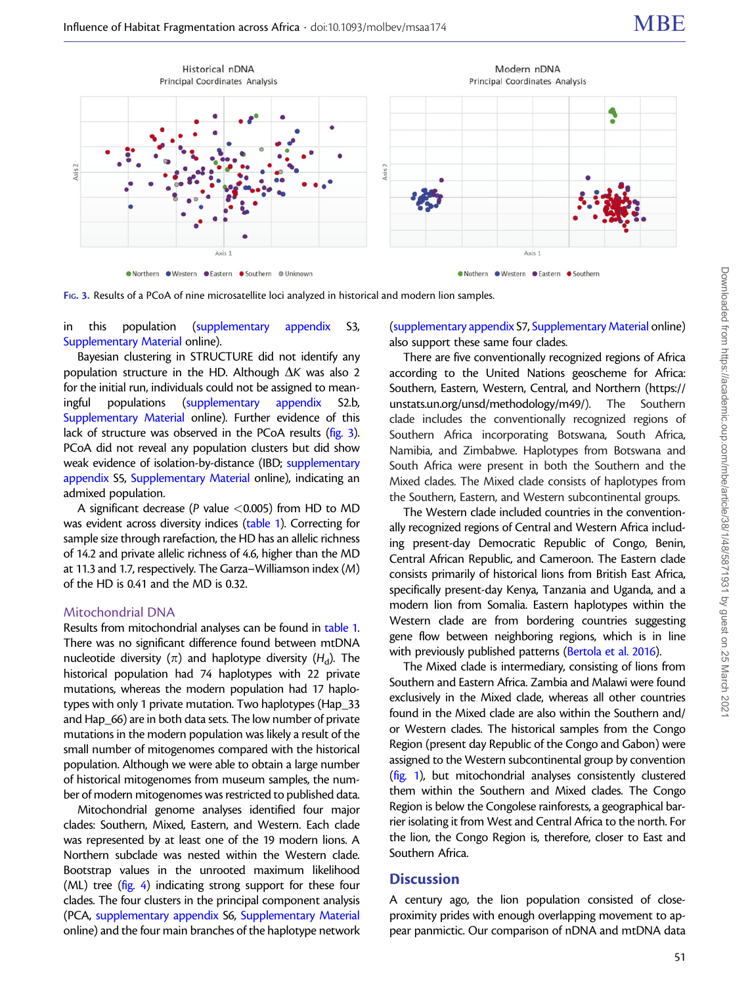

<span id="page-3-0"></span>



in this population (supplementary appendix S3, Supplementary Material online).

Bayesian clustering in STRUCTURE did not identify any population structure in the HD. Although  $\Delta K$  was also 2 for the initial run, individuals could not be assigned to meaningful populations (supplementary appendix S2.b, Supplementary Material online). Further evidence of this lack of structure was observed in the PCoA results (fig. 3). PCoA did not reveal any population clusters but did show weak evidence of isolation-by-distance (IBD; supplementary appendix S5, Supplementary Material online), indicating an admixed population.

A significant decrease (P value  $<$  0.005) from HD to MD was evident across diversity indices ([table 1\)](#page-1-0). Correcting for sample size through rarefaction, the HD has an allelic richness of 14.2 and private allelic richness of 4.6, higher than the MD at 11.3 and 1.7, respectively. The Garza–Williamson index (M) of the HD is 0.41 and the MD is 0.32.

#### Mitochondrial DNA

Results from mitochondrial analyses can be found in [table 1.](#page-1-0) There was no significant difference found between mtDNA nucleotide diversity ( $\pi$ ) and haplotype diversity ( $H_d$ ). The historical population had 74 haplotypes with 22 private mutations, whereas the modern population had 17 haplotypes with only 1 private mutation. Two haplotypes (Hap\_33 and Hap 66) are in both data sets. The low number of private mutations in the modern population was likely a result of the small number of mitogenomes compared with the historical population. Although we were able to obtain a large number of historical mitogenomes from museum samples, the number of modern mitogenomes was restricted to published data.

Mitochondrial genome analyses identified four major clades: Southern, Mixed, Eastern, and Western. Each clade was represented by at least one of the 19 modern lions. A Northern subclade was nested within the Western clade. Bootstrap values in the unrooted maximum likelihood (ML) tree ([fig. 4](#page-4-0)) indicating strong support for these four clades. The four clusters in the principal component analysis (PCA, supplementary appendix S6, Supplementary Material online) and the four main branches of the haplotype network (supplementary appendix S7, Supplementary Material online) also support these same four clades.

There are five conventionally recognized regions of Africa according to the United Nations geoscheme for Africa: Southern, Eastern, Western, Central, and Northern ([https://](https://unstats.un.org/unsd/methodology/m49/) [unstats.un.org/unsd/methodology/m49/](https://unstats.un.org/unsd/methodology/m49/)). The Southern clade includes the conventionally recognized regions of Southern Africa incorporating Botswana, South Africa, Namibia, and Zimbabwe. Haplotypes from Botswana and South Africa were present in both the Southern and the Mixed clades. The Mixed clade consists of haplotypes from the Southern, Eastern, and Western subcontinental groups.

The Western clade included countries in the conventionally recognized regions of Central and Western Africa including present-day Democratic Republic of Congo, Benin, Central African Republic, and Cameroon. The Eastern clade consists primarily of historical lions from British East Africa, specifically present-day Kenya, Tanzania and Uganda, and a modern lion from Somalia. Eastern haplotypes within the Western clade are from bordering countries suggesting gene flow between neighboring regions, which is in line with previously published patterns [\(Bertola et al. 2016](#page-7-0)).

The Mixed clade is intermediary, consisting of lions from Southern and Eastern Africa. Zambia and Malawi were found exclusively in the Mixed clade, whereas all other countries found in the Mixed clade are also within the Southern and/ or Western clades. The historical samples from the Congo Region (present day Republic of the Congo and Gabon) were assigned to the Western subcontinental group by convention [\(fig. 1\)](#page-2-0), but mitochondrial analyses consistently clustered them within the Southern and Mixed clades. The Congo Region is below the Congolese rainforests, a geographical barrier isolating it from West and Central Africa to the north. For the lion, the Congo Region is, therefore, closer to East and Southern Africa.

## **Discussion**

A century ago, the lion population consisted of closeproximity prides with enough overlapping movement to appear panmictic. Our comparison of nDNA and mtDNA data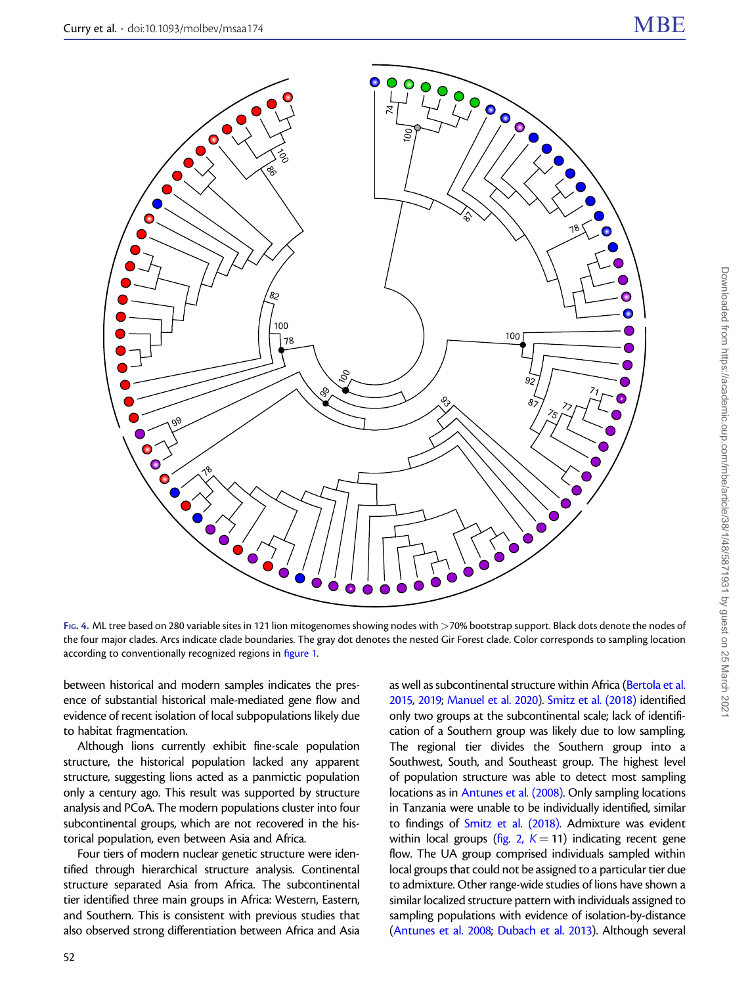<span id="page-4-0"></span>

FIG. 4. ML tree based on 280 variable sites in 121 lion mitogenomes showing nodes with >70% bootstrap support. Black dots denote the nodes of the four major clades. Arcs indicate clade boundaries. The gray dot denotes the nested Gir Forest clade. Color corresponds to sampling location according to conventionally recognized regions in [figure 1.](#page-2-0)

between historical and modern samples indicates the presence of substantial historical male-mediated gene flow and evidence of recent isolation of local subpopulations likely due to habitat fragmentation.

Although lions currently exhibit fine-scale population structure, the historical population lacked any apparent structure, suggesting lions acted as a panmictic population only a century ago. This result was supported by structure analysis and PCoA. The modern populations cluster into four subcontinental groups, which are not recovered in the historical population, even between Asia and Africa.

Four tiers of modern nuclear genetic structure were identified through hierarchical structure analysis. Continental structure separated Asia from Africa. The subcontinental tier identified three main groups in Africa: Western, Eastern, and Southern. This is consistent with previous studies that also observed strong differentiation between Africa and Asia

as well as subcontinental structure within Africa [\(Bertola et al.](#page-7-0) [2015,](#page-7-0) [2019;](#page-7-0) [Manuel et al. 2020](#page-8-0)). [Smitz et al. \(2018\)](#page-8-0) identified only two groups at the subcontinental scale; lack of identification of a Southern group was likely due to low sampling. The regional tier divides the Southern group into a Southwest, South, and Southeast group. The highest level of population structure was able to detect most sampling locations as in [Antunes et al. \(2008\)](#page-7-0). Only sampling locations in Tanzania were unable to be individually identified, similar to findings of [Smitz et al. \(2018\)](#page-8-0). Admixture was evident within local groups ([fig. 2,](#page-2-0)  $K = 11$ ) indicating recent gene flow. The UA group comprised individuals sampled within local groups that could not be assigned to a particular tier due to admixture. Other range-wide studies of lions have shown a similar localized structure pattern with individuals assigned to sampling populations with evidence of isolation-by-distance [\(Antunes et al. 2008;](#page-7-0) [Dubach et al. 2013](#page-8-0)). Although several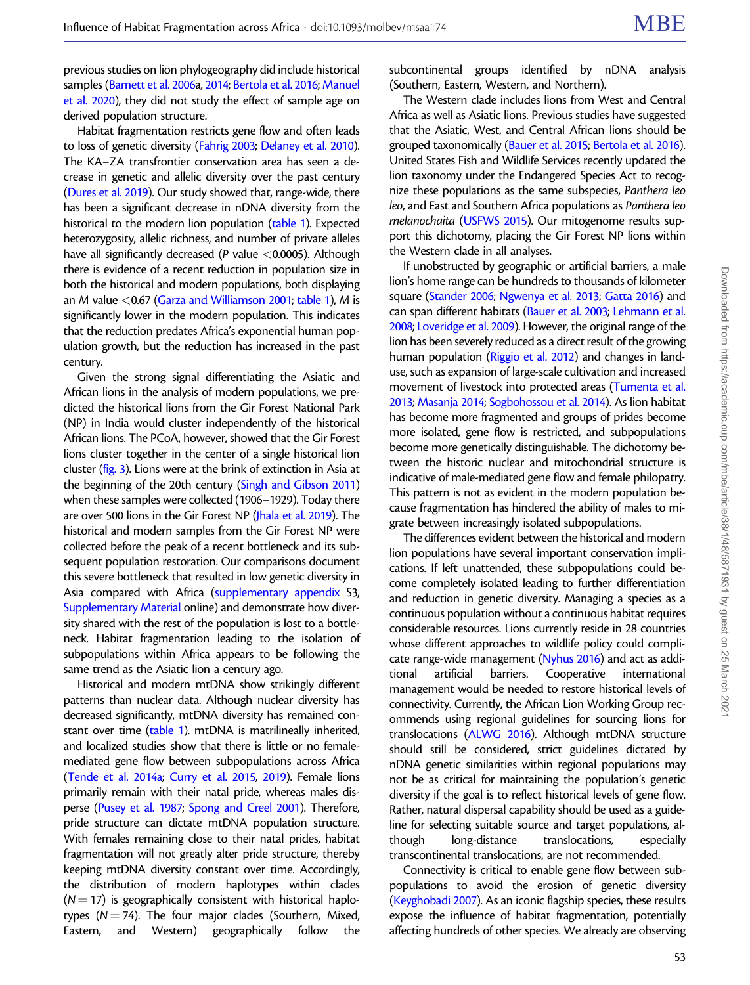previous studies on lion phylogeography did include historical samples [\(Barnett et al. 2006](#page-7-0)a, [2014](#page-7-0); [Bertola et al. 2016](#page-7-0); [Manuel](#page-8-0) [et al. 2020](#page-8-0)), they did not study the effect of sample age on derived population structure.

Habitat fragmentation restricts gene flow and often leads to loss of genetic diversity ([Fahrig 2003;](#page-8-0) [Delaney et al. 2010\)](#page-8-0). The KA–ZA transfrontier conservation area has seen a decrease in genetic and allelic diversity over the past century ([Dures et al. 2019\)](#page-8-0). Our study showed that, range-wide, there has been a significant decrease in nDNA diversity from the historical to the modern lion population [\(table 1\)](#page-1-0). Expected heterozygosity, allelic richness, and number of private alleles have all significantly decreased ( $P$  value <0.0005). Although there is evidence of a recent reduction in population size in both the historical and modern populations, both displaying an M value  $<$  0.67 [\(Garza and Williamson 2001;](#page-8-0) [table 1\)](#page-1-0), M is significantly lower in the modern population. This indicates that the reduction predates Africa's exponential human population growth, but the reduction has increased in the past century.

Given the strong signal differentiating the Asiatic and African lions in the analysis of modern populations, we predicted the historical lions from the Gir Forest National Park (NP) in India would cluster independently of the historical African lions. The PCoA, however, showed that the Gir Forest lions cluster together in the center of a single historical lion cluster ([fig. 3](#page-3-0)). Lions were at the brink of extinction in Asia at the beginning of the 20th century [\(Singh and Gibson 2011](#page-8-0)) when these samples were collected (1906–1929). Today there are over 500 lions in the Gir Forest NP ([Jhala et al. 2019](#page-8-0)). The historical and modern samples from the Gir Forest NP were collected before the peak of a recent bottleneck and its subsequent population restoration. Our comparisons document this severe bottleneck that resulted in low genetic diversity in Asia compared with Africa (supplementary appendix S3, Supplementary Material online) and demonstrate how diversity shared with the rest of the population is lost to a bottleneck. Habitat fragmentation leading to the isolation of subpopulations within Africa appears to be following the same trend as the Asiatic lion a century ago.

Historical and modern mtDNA show strikingly different patterns than nuclear data. Although nuclear diversity has decreased significantly, mtDNA diversity has remained constant over time ([table 1\)](#page-1-0). mtDNA is matrilineally inherited, and localized studies show that there is little or no femalemediated gene flow between subpopulations across Africa ([Tende et al. 2014a;](#page-9-0) [Curry et al. 2015,](#page-7-0) [2019](#page-7-0)). Female lions primarily remain with their natal pride, whereas males disperse ([Pusey et al. 1987;](#page-8-0) [Spong and Creel 2001](#page-9-0)). Therefore, pride structure can dictate mtDNA population structure. With females remaining close to their natal prides, habitat fragmentation will not greatly alter pride structure, thereby keeping mtDNA diversity constant over time. Accordingly, the distribution of modern haplotypes within clades  $(N = 17)$  is geographically consistent with historical haplotypes ( $N = 74$ ). The four major clades (Southern, Mixed, Eastern, and Western) geographically follow the

subcontinental groups identified by nDNA analysis (Southern, Eastern, Western, and Northern).

The Western clade includes lions from West and Central Africa as well as Asiatic lions. Previous studies have suggested that the Asiatic, West, and Central African lions should be grouped taxonomically ([Bauer et al. 2015](#page-7-0); [Bertola et al. 2016\)](#page-7-0). United States Fish and Wildlife Services recently updated the lion taxonomy under the Endangered Species Act to recognize these populations as the same subspecies, Panthera leo leo, and East and Southern Africa populations as Panthera leo melanochaita [\(USFWS 2015\)](#page-9-0). Our mitogenome results support this dichotomy, placing the Gir Forest NP lions within the Western clade in all analyses.

If unobstructed by geographic or artificial barriers, a male lion's home range can be hundreds to thousands of kilometer square [\(Stander 2006](#page-9-0); [Ngwenya et al. 2013;](#page-8-0) [Gatta 2016\)](#page-8-0) and can span different habitats [\(Bauer et al. 2003;](#page-7-0) [Lehmann et al.](#page-8-0) [2008;](#page-8-0) [Loveridge et al. 2009](#page-8-0)). However, the original range of the lion has been severely reduced as a direct result of the growing human population [\(Riggio et al. 2012](#page-8-0)) and changes in landuse, such as expansion of large-scale cultivation and increased movement of livestock into protected areas [\(Tumenta et al.](#page-9-0) [2013;](#page-9-0) [Masanja 2014;](#page-8-0) [Sogbohossou et al. 2014\)](#page-8-0). As lion habitat has become more fragmented and groups of prides become more isolated, gene flow is restricted, and subpopulations become more genetically distinguishable. The dichotomy between the historic nuclear and mitochondrial structure is indicative of male-mediated gene flow and female philopatry. This pattern is not as evident in the modern population because fragmentation has hindered the ability of males to migrate between increasingly isolated subpopulations.

The differences evident between the historical and modern lion populations have several important conservation implications. If left unattended, these subpopulations could become completely isolated leading to further differentiation and reduction in genetic diversity. Managing a species as a continuous population without a continuous habitat requires considerable resources. Lions currently reside in 28 countries whose different approaches to wildlife policy could complicate range-wide management ([Nyhus 2016\)](#page-8-0) and act as additional artificial barriers. Cooperative international management would be needed to restore historical levels of connectivity. Currently, the African Lion Working Group recommends using regional guidelines for sourcing lions for translocations ([ALWG 2016](#page-7-0)). Although mtDNA structure should still be considered, strict guidelines dictated by nDNA genetic similarities within regional populations may not be as critical for maintaining the population's genetic diversity if the goal is to reflect historical levels of gene flow. Rather, natural dispersal capability should be used as a guideline for selecting suitable source and target populations, although long-distance translocations, especially transcontinental translocations, are not recommended.

Connectivity is critical to enable gene flow between subpopulations to avoid the erosion of genetic diversity [\(Keyghobadi 2007](#page-8-0)). As an iconic flagship species, these results expose the influence of habitat fragmentation, potentially affecting hundreds of other species. We already are observing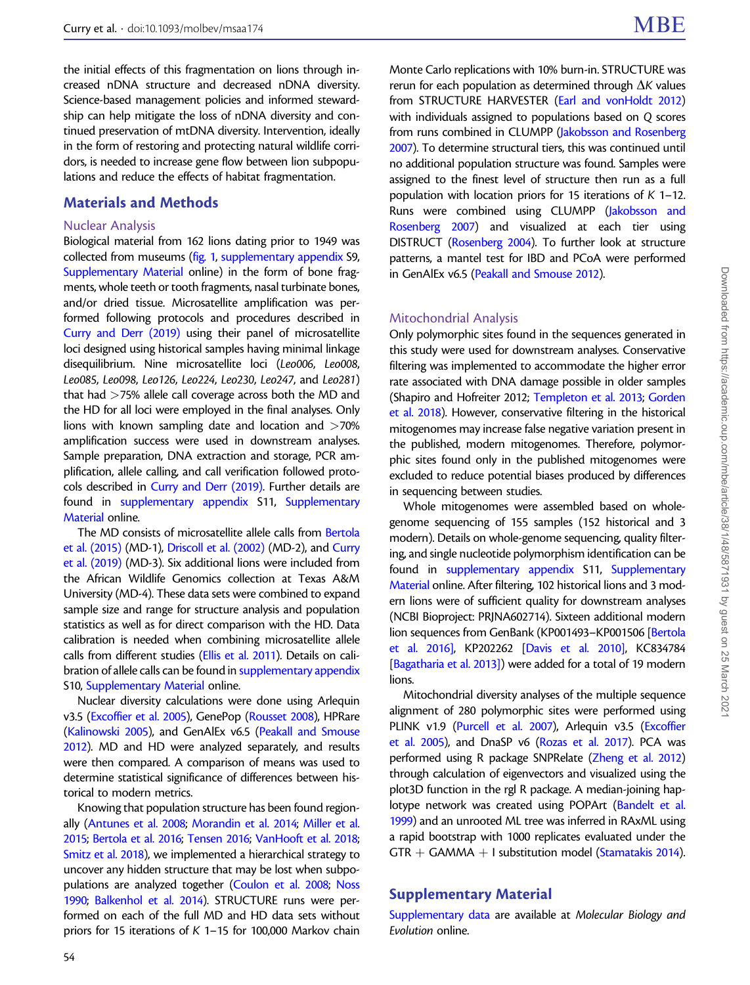the initial effects of this fragmentation on lions through increased nDNA structure and decreased nDNA diversity. Science-based management policies and informed stewardship can help mitigate the loss of nDNA diversity and continued preservation of mtDNA diversity. Intervention, ideally in the form of restoring and protecting natural wildlife corridors, is needed to increase gene flow between lion subpopulations and reduce the effects of habitat fragmentation.

## Materials and Methods

#### Nuclear Analysis

Biological material from 162 lions dating prior to 1949 was collected from museums [\(fig. 1](#page-2-0), supplementary appendix S9, Supplementary Material online) in the form of bone fragments, whole teeth or tooth fragments, nasal turbinate bones, and/or dried tissue. Microsatellite amplification was performed following protocols and procedures described in [Curry and Derr \(2019\)](#page-7-0) using their panel of microsatellite loci designed using historical samples having minimal linkage disequilibrium. Nine microsatellite loci (Leo006, Leo008, Leo085, Leo098, Leo126, Leo224, Leo230, Leo247, and Leo281) that had >75% allele call coverage across both the MD and the HD for all loci were employed in the final analyses. Only lions with known sampling date and location and >70% amplification success were used in downstream analyses. Sample preparation, DNA extraction and storage, PCR amplification, allele calling, and call verification followed protocols described in [Curry and Derr \(2019\).](#page-7-0) Further details are found in supplementary appendix S11, Supplementary Material online.

The MD consists of microsatellite allele calls from [Bertola](#page-7-0) [et al. \(2015\)](#page-7-0) (MD-1), [Driscoll et al. \(2002\)](#page-8-0) (MD-2), and [Curry](#page-7-0) [et al. \(2019\)](#page-7-0) (MD-3). Six additional lions were included from the African Wildlife Genomics collection at Texas A&M University (MD-4). These data sets were combined to expand sample size and range for structure analysis and population statistics as well as for direct comparison with the HD. Data calibration is needed when combining microsatellite allele calls from different studies [\(Ellis et al. 2011](#page-8-0)). Details on calibration of allele calls can be found in supplementary appendix S10, Supplementary Material online.

Nuclear diversity calculations were done using Arlequin v3.5 [\(Excoffier et al. 2005\)](#page-8-0), GenePop ([Rousset 2008](#page-8-0)), HPRare ([Kalinowski 2005\)](#page-8-0), and GenAlEx v6.5 [\(Peakall and Smouse](#page-8-0) [2012\)](#page-8-0). MD and HD were analyzed separately, and results were then compared. A comparison of means was used to determine statistical significance of differences between historical to modern metrics.

Knowing that population structure has been found regionally ([Antunes et al. 2008](#page-7-0); [Morandin et al. 2014;](#page-8-0) [Miller et al.](#page-8-0) [2015;](#page-8-0) [Bertola et al. 2016](#page-7-0); [Tensen 2016](#page-9-0); [VanHooft et al. 2018;](#page-9-0) [Smitz et al. 2018](#page-8-0)), we implemented a hierarchical strategy to uncover any hidden structure that may be lost when subpopulations are analyzed together [\(Coulon et al. 2008;](#page-7-0) [Noss](#page-8-0) [1990;](#page-8-0) [Balkenhol et al. 2014](#page-7-0)). STRUCTURE runs were performed on each of the full MD and HD data sets without priors for 15 iterations of K 1–15 for 100,000 Markov chain Monte Carlo replications with 10% burn-in. STRUCTURE was rerun for each population as determined through  $\Delta K$  values from STRUCTURE HARVESTER [\(Earl and vonHoldt 2012](#page-8-0)) with individuals assigned to populations based on Q scores from runs combined in CLUMPP [\(Jakobsson and Rosenberg](#page-8-0) [2007\)](#page-8-0). To determine structural tiers, this was continued until no additional population structure was found. Samples were assigned to the finest level of structure then run as a full population with location priors for 15 iterations of K 1–12. Runs were combined using CLUMPP ([Jakobsson and](#page-8-0) [Rosenberg 2007\)](#page-8-0) and visualized at each tier using DISTRUCT ([Rosenberg 2004\)](#page-8-0). To further look at structure patterns, a mantel test for IBD and PCoA were performed in GenAlEx v6.5 [\(Peakall and Smouse 2012\)](#page-8-0).

#### Mitochondrial Analysis

Only polymorphic sites found in the sequences generated in this study were used for downstream analyses. Conservative filtering was implemented to accommodate the higher error rate associated with DNA damage possible in older samples (Shapiro and Hofreiter 2012; [Templeton et al. 2013](#page-9-0); [Gorden](#page-8-0) [et al. 2018](#page-8-0)). However, conservative filtering in the historical mitogenomes may increase false negative variation present in the published, modern mitogenomes. Therefore, polymorphic sites found only in the published mitogenomes were excluded to reduce potential biases produced by differences in sequencing between studies.

Whole mitogenomes were assembled based on wholegenome sequencing of 155 samples (152 historical and 3 modern). Details on whole-genome sequencing, quality filtering, and single nucleotide polymorphism identification can be found in supplementary appendix S11, Supplementary Material online. After filtering, 102 historical lions and 3 modern lions were of sufficient quality for downstream analyses (NCBI Bioproject: PRJNA602714). Sixteen additional modern lion sequences from GenBank (KP001493-KP001506 [\[Bertola](#page-7-0) [et al. 2016\]](#page-7-0), KP202262 [[Davis et al. 2010\]](#page-8-0), KC834784 [\[Bagatharia et al. 2013\]\)](#page-7-0) were added for a total of 19 modern lions.

Mitochondrial diversity analyses of the multiple sequence alignment of 280 polymorphic sites were performed using PLINK v1.9 ([Purcell et al. 2007\)](#page-8-0), Arlequin v3.5 [\(Excoffier](#page-8-0) [et al. 2005\)](#page-8-0), and DnaSP v6 [\(Rozas et al. 2017\)](#page-8-0). PCA was performed using R package SNPRelate [\(Zheng et al. 2012](#page-9-0)) through calculation of eigenvectors and visualized using the plot3D function in the rgl R package. A median-joining haplotype network was created using POPArt [\(Bandelt et al.](#page-7-0) [1999\)](#page-7-0) and an unrooted ML tree was inferred in RAxML using a rapid bootstrap with 1000 replicates evaluated under the  $GTR + GAMMA + I$  substitution model [\(Stamatakis 2014](#page-9-0)).

## Supplementary Material

Supplementary data are available at Molecular Biology and Evolution online.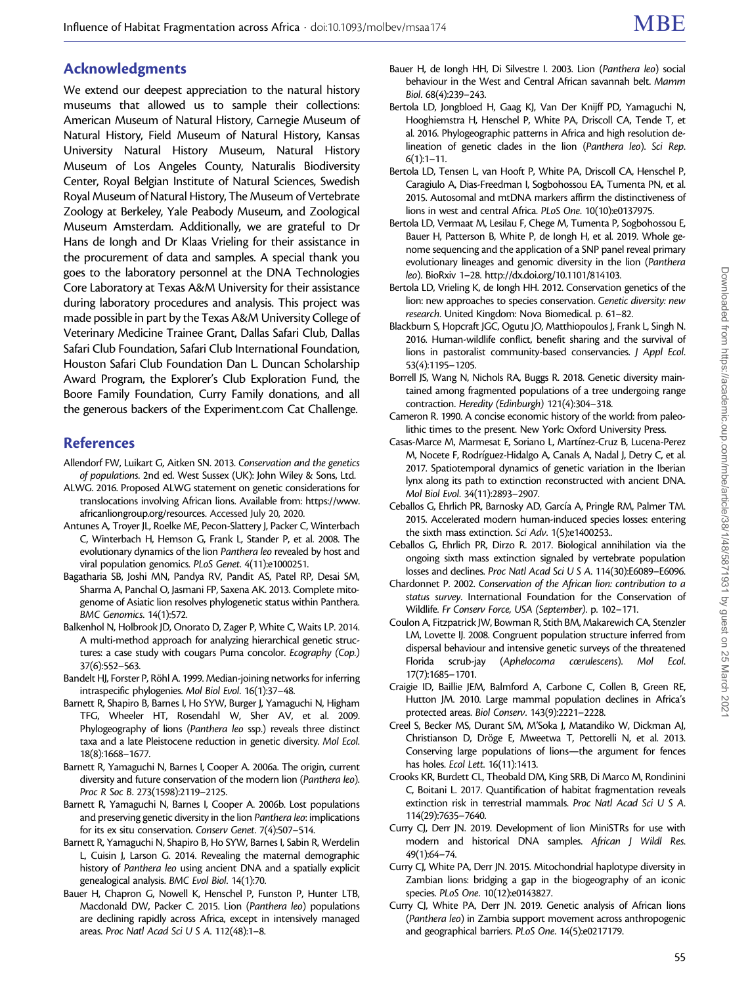# <span id="page-7-0"></span>Acknowledgments

We extend our deepest appreciation to the natural history museums that allowed us to sample their collections: American Museum of Natural History, Carnegie Museum of Natural History, Field Museum of Natural History, Kansas University Natural History Museum, Natural History Museum of Los Angeles County, Naturalis Biodiversity Center, Royal Belgian Institute of Natural Sciences, Swedish Royal Museum of Natural History, The Museum of Vertebrate Zoology at Berkeley, Yale Peabody Museum, and Zoological Museum Amsterdam. Additionally, we are grateful to Dr Hans de Iongh and Dr Klaas Vrieling for their assistance in the procurement of data and samples. A special thank you goes to the laboratory personnel at the DNA Technologies Core Laboratory at Texas A&M University for their assistance during laboratory procedures and analysis. This project was made possible in part by the Texas A&M University College of Veterinary Medicine Trainee Grant, Dallas Safari Club, Dallas Safari Club Foundation, Safari Club International Foundation, Houston Safari Club Foundation Dan L. Duncan Scholarship Award Program, the Explorer's Club Exploration Fund, the Boore Family Foundation, Curry Family donations, and all the generous backers of the Experiment.com Cat Challenge.

## References

- Allendorf FW, Luikart G, Aitken SN. 2013. Conservation and the genetics of populations. 2nd ed. West Sussex (UK): John Wiley & Sons, Ltd.
- ALWG. 2016. Proposed ALWG statement on genetic considerations for translocations involving African lions. Available from: [https://www.](https://www.africanliongroup.org/resources) [africanliongroup.org/resources.](https://www.africanliongroup.org/resources) Accessed July 20, 2020.
- Antunes A, Troyer JL, Roelke ME, Pecon-Slattery J, Packer C, Winterbach C, Winterbach H, Hemson G, Frank L, Stander P, et al. 2008. The evolutionary dynamics of the lion Panthera leo revealed by host and viral population genomics. PLoS Genet. 4(11):e1000251.
- Bagatharia SB, Joshi MN, Pandya RV, Pandit AS, Patel RP, Desai SM, Sharma A, Panchal O, Jasmani FP, Saxena AK. 2013. Complete mitogenome of Asiatic lion resolves phylogenetic status within Panthera. BMC Genomics. 14(1):572.
- Balkenhol N, Holbrook JD, Onorato D, Zager P, White C, Waits LP. 2014. A multi-method approach for analyzing hierarchical genetic structures: a case study with cougars Puma concolor. Ecography (Cop.) 37(6):552–563.
- Bandelt HJ, Forster P, Röhl A. 1999. Median-joining networks for inferring intraspecific phylogenies. Mol Biol Evol. 16(1):37–48.
- Barnett R, Shapiro B, Barnes I, Ho SYW, Burger J, Yamaguchi N, Higham TFG, Wheeler HT, Rosendahl W, Sher AV, et al. 2009. Phylogeography of lions (Panthera leo ssp.) reveals three distinct taxa and a late Pleistocene reduction in genetic diversity. Mol Ecol. 18(8):1668–1677.
- Barnett R, Yamaguchi N, Barnes I, Cooper A. 2006a. The origin, current diversity and future conservation of the modern lion (Panthera leo). Proc R Soc B. 273(1598):2119–2125.
- Barnett R, Yamaguchi N, Barnes I, Cooper A. 2006b. Lost populations and preserving genetic diversity in the lion Panthera leo: implications for its ex situ conservation. Conserv Genet. 7(4):507–514.
- Barnett R, Yamaguchi N, Shapiro B, Ho SYW, Barnes I, Sabin R, Werdelin L, Cuisin J, Larson G. 2014. Revealing the maternal demographic history of Panthera leo using ancient DNA and a spatially explicit genealogical analysis. BMC Evol Biol. 14(1):70.
- Bauer H, Chapron G, Nowell K, Henschel P, Funston P, Hunter LTB, Macdonald DW, Packer C. 2015. Lion (Panthera leo) populations are declining rapidly across Africa, except in intensively managed areas. Proc Natl Acad Sci U S A. 112(48):1–8.
- Bauer H, de Iongh HH, Di Silvestre I. 2003. Lion (Panthera leo) social behaviour in the West and Central African savannah belt. Mamm Biol. 68(4):239–243.
- Bertola LD, Jongbloed H, Gaag KJ, Van Der Knijff PD, Yamaguchi N, Hooghiemstra H, Henschel P, White PA, Driscoll CA, Tende T, et al. 2016. Phylogeographic patterns in Africa and high resolution delineation of genetic clades in the lion (Panthera leo). Sci Rep.  $6(1):1-11.$
- Bertola LD, Tensen L, van Hooft P, White PA, Driscoll CA, Henschel P, Caragiulo A, Dias-Freedman I, Sogbohossou EA, Tumenta PN, et al. 2015. Autosomal and mtDNA markers affirm the distinctiveness of lions in west and central Africa. PLoS One. 10(10):e013797[5.](http://dx.plos.org/10.1371/journal.pone.0137975)
- Bertola LD, Vermaat M, Lesilau F, Chege M, Tumenta P, Sogbohossou E, Bauer H, Patterson B, White P, de Iongh H, et al. 2019. Whole genome sequencing and the application of a SNP panel reveal primary evolutionary lineages and genomic diversity in the lion (Panthera leo). BioRxiv 1–28.<http://dx.doi.org/10.1101/814103>.
- Bertola LD, Vrieling K, de Iongh HH. 2012. Conservation genetics of the lion: new approaches to species conservation. Genetic diversity: new research. United Kingdom: Nova Biomedical. p. 61–82.
- Blackburn S, Hopcraft JGC, Ogutu JO, Matthiopoulos J, Frank L, Singh N. 2016. Human-wildlife conflict, benefit sharing and the survival of lions in pastoralist community-based conservancies. J Appl Ecol. 53(4):1195–1205.
- Borrell JS, Wang N, Nichols RA, Buggs R. 2018. Genetic diversity maintained among fragmented populations of a tree undergoing range contraction. Heredity (Edinburgh) 121(4):304–318.
- Cameron R. 1990. A concise economic history of the world: from paleolithic times to the present. New York: Oxford University Press.
- Casas-Marce M, Marmesat E, Soriano L, Martínez-Cruz B, Lucena-Perez M, Nocete F, Rodríguez-Hidalgo A, Canals A, Nadal J, Detry C, et al. 2017. Spatiotemporal dynamics of genetic variation in the Iberian lynx along its path to extinction reconstructed with ancient DNA. Mol Biol Evol. 34(11):2893–2907.
- Ceballos G, Ehrlich PR, Barnosky AD, García A, Pringle RM, Palmer TM. 2015. Accelerated modern human-induced species losses: entering the sixth mass extinction. Sci Adv. 1(5):e1400253..
- Ceballos G, Ehrlich PR, Dirzo R. 2017. Biological annihilation via the ongoing sixth mass extinction signaled by vertebrate population losses and declines. Proc Natl Acad Sci U S A. 114(30):E6089–E6096.
- Chardonnet P. 2002. Conservation of the African lion: contribution to a status survey. International Foundation for the Conservation of Wildlife. Fr Conserv Force, USA (September). p. 102–171.
- Coulon A, Fitzpatrick JW, Bowman R, Stith BM, Makarewich CA, Stenzler LM, Lovette IJ. 2008. Congruent population structure inferred from dispersal behaviour and intensive genetic surveys of the threatened Florida scrub-jay (Aphelocoma cœrulescens). Mol Ecol. 17(7):1685–1701.
- Craigie ID, Baillie JEM, Balmford A, Carbone C, Collen B, Green RE, Hutton JM. 2010. Large mammal population declines in Africa's protected areas. Biol Conserv. 143(9):2221–2228.
- Creel S, Becker MS, Durant SM, M'Soka J, Matandiko W, Dickman AJ, Christianson D, Dröge E, Mweetwa T, Pettorelli N, et al. 2013. Conserving large populations of lions—the argument for fences has holes. Ecol Lett. 16(11):1413.
- Crooks KR, Burdett CL, Theobald DM, King SRB, Di Marco M, Rondinini C, Boitani L. 2017. Quantification of habitat fragmentation reveals extinction risk in terrestrial mammals. Proc Natl Acad Sci U S A. 114(29):7635–7640.
- Curry CJ, Derr JN. 2019. Development of lion MiniSTRs for use with modern and historical DNA samples. African J Wildl Res. 49(1):64–74.
- Curry CJ, White PA, Derr JN. 2015. Mitochondrial haplotype diversity in Zambian lions: bridging a gap in the biogeography of an iconic species. PLoS One. 10(12):e0143827.
- Curry CJ, White PA, Derr JN. 2019. Genetic analysis of African lions (Panthera leo) in Zambia support movement across anthropogenic and geographical barriers. PLoS One. 14(5):e0217179.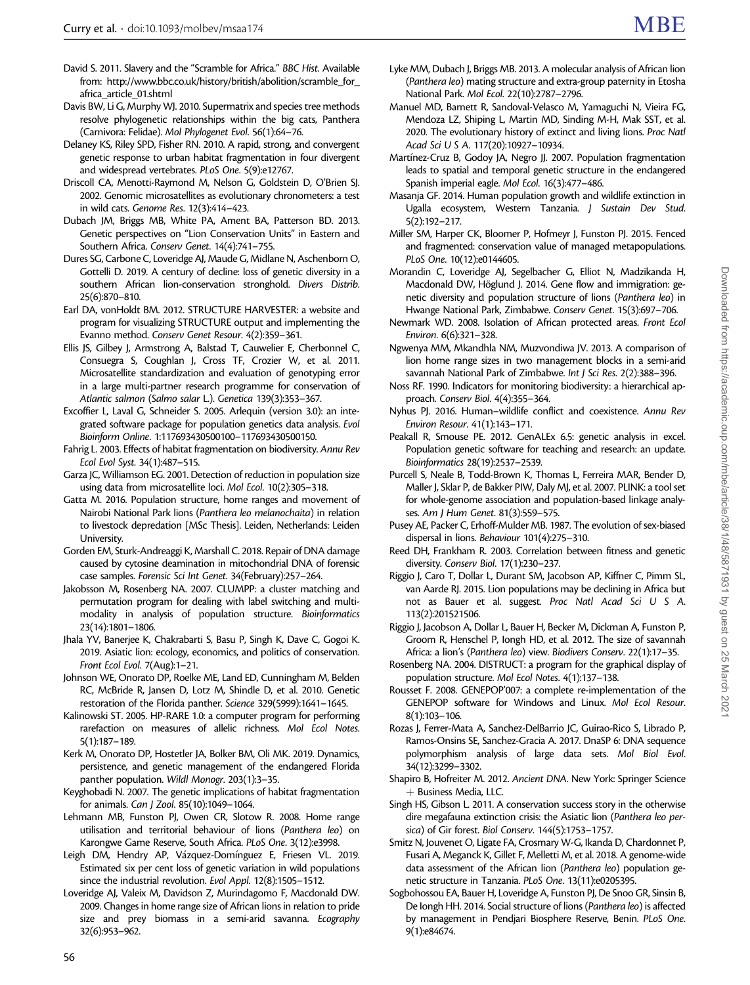- <span id="page-8-0"></span>David S. 2011. Slavery and the "Scramble for Africa." BBC Hist. Available from: [http://www.bbc.co.uk/history/british/abolition/scramble\\_for\\_](http://www.bbc.co.uk/history/british/abolition/scramble_for_africa_article_01.shtml) [africa\\_article\\_01.shtml](http://www.bbc.co.uk/history/british/abolition/scramble_for_africa_article_01.shtml)
- Davis BW, Li G, Murphy WJ. 2010. Supermatrix and species tree methods resolve phylogenetic relationships within the big cats, Panthera (Carnivora: Felidae). Mol Phylogenet Evol. 56(1):64–76.
- Delaney KS, Riley SPD, Fisher RN. 2010. A rapid, strong, and convergent genetic response to urban habitat fragmentation in four divergent and widespread vertebrates. PLoS One. 5(9):e12767.
- Driscoll CA, Menotti-Raymond M, Nelson G, Goldstein D, O'Brien SJ. 2002. Genomic microsatellites as evolutionary chronometers: a test in wild cats. Genome Res. 12(3):414–423.
- Dubach JM, Briggs MB, White PA, Ament BA, Patterson BD. 2013. Genetic perspectives on "Lion Conservation Units" in Eastern and Southern Africa. Conserv Genet. 14(4):741–755.
- Dures SG, Carbone C, Loveridge AJ, Maude G, Midlane N, Aschenborn O, Gottelli D. 2019. A century of decline: loss of genetic diversity in a southern African lion-conservation stronghold. Divers Distrib. 25(6):870–810.
- Earl DA, vonHoldt BM. 2012. STRUCTURE HARVESTER: a website and program for visualizing STRUCTURE output and implementing the Evanno method. Conserv Genet Resour. 4(2):359–361.
- Ellis JS, Gilbey J, Armstrong A, Balstad T, Cauwelier E, Cherbonnel C, Consuegra S, Coughlan J, Cross TF, Crozier W, et al. 2011. Microsatellite standardization and evaluation of genotyping error in a large multi-partner research programme for conservation of Atlantic salmon (Salmo salar L.). Genetica 139(3):353–367.
- Excoffier L, Laval G, Schneider S. 2005. Arlequin (version 3.0): an integrated software package for population genetics data analysis. Evol Bioinform Online. 1:117693430500100–117693430500150.
- Fahrig L. 2003. Effects of habitat fragmentation on biodiversity. Annu Rev Ecol Evol Syst. 34(1):487–515.
- Garza JC, Williamson EG. 2001. Detection of reduction in population size using data from microsatellite loci. Mol Ecol. 10(2):305–318.
- Gatta M. 2016. Population structure, home ranges and movement of Nairobi National Park lions (Panthera leo melanochaita) in relation to livestock depredation [MSc Thesis]. Leiden, Netherlands: Leiden University.
- Gorden EM, Sturk-Andreaggi K, Marshall C. 2018. Repair of DNA damage caused by cytosine deamination in mitochondrial DNA of forensic case samples. Forensic Sci Int Genet. 34(February):257–264.
- Jakobsson M, Rosenberg NA. 2007. CLUMPP: a cluster matching and permutation program for dealing with label switching and multimodality in analysis of population structure. Bioinformatics 23(14):1801–1806.
- Jhala YV, Banerjee K, Chakrabarti S, Basu P, Singh K, Dave C, Gogoi K. 2019. Asiatic lion: ecology, economics, and politics of conservation. Front Ecol Evol. 7(Aug):1–21.
- Johnson WE, Onorato DP, Roelke ME, Land ED, Cunningham M, Belden RC, McBride R, Jansen D, Lotz M, Shindle D, et al. 2010. Genetic restoration of the Florida panther. Science 329(5999):1641–1645.
- Kalinowski ST. 2005. HP-RARE 1.0: a computer program for performing rarefaction on measures of allelic richness. Mol Ecol Notes. 5(1):187–189.
- Kerk M, Onorato DP, Hostetler JA, Bolker BM, Oli MK. 2019. Dynamics, persistence, and genetic management of the endangered Florida panther population. Wildl Monogr. 203(1):3–35.
- Keyghobadi N. 2007. The genetic implications of habitat fragmentation for animals. Can J Zool. 85(10):1049–1064.
- Lehmann MB, Funston PJ, Owen CR, Slotow R. 2008. Home range utilisation and territorial behaviour of lions (Panthera leo) on Karongwe Game Reserve, South Africa. PLoS One. 3(12):e3998.
- Leigh DM, Hendry AP, Vázquez-Domínguez E, Friesen VL. 2019. Estimated six per cent loss of genetic variation in wild populations since the industrial revolution. Evol Appl. 12(8):1505–1512.
- Loveridge AJ, Valeix M, Davidson Z, Murindagomo F, Macdonald DW. 2009. Changes in home range size of African lions in relation to pride size and prey biomass in a semi-arid savanna. Ecography 32(6):953–962.
- Lyke MM, Dubach J, Briggs MB. 2013. A molecular analysis of African lion (Panthera leo) mating structure and extra-group paternity in Etosha National Park. Mol Ecol. 22(10):2787–2796.
- Manuel MD, Barnett R, Sandoval-Velasco M, Yamaguchi N, Vieira FG, Mendoza LZ, Shiping L, Martin MD, Sinding M-H, Mak SST, et al. 2020. The evolutionary history of extinct and living lions. Proc Natl Acad Sci U S A. 117(20):10927–10934.
- Martínez-Cruz B, Godoy JA, Negro JJ. 2007. Population fragmentation leads to spatial and temporal genetic structure in the endangered Spanish imperial eagle. Mol Ecol. 16(3):477–486.
- Masanja GF. 2014. Human population growth and wildlife extinction in Ugalla ecosystem, Western Tanzania. J Sustain Dev Stud. 5(2):192–217.
- Miller SM, Harper CK, Bloomer P, Hofmeyr J, Funston PJ. 2015. Fenced and fragmented: conservation value of managed metapopulations. PLoS One. 10(12):e0144605.
- Morandin C, Loveridge AJ, Segelbacher G, Elliot N, Madzikanda H, Macdonald DW, Höglund J. 2014. Gene flow and immigration: genetic diversity and population structure of lions (Panthera leo) in Hwange National Park, Zimbabwe. Conserv Genet. 15(3):697–706.
- Newmark WD. 2008. Isolation of African protected areas. Front Ecol Environ. 6(6):321–328.
- Ngwenya MM, Mkandhla NM, Muzvondiwa JV. 2013. A comparison of lion home range sizes in two management blocks in a semi-arid savannah National Park of Zimbabwe. Int J Sci Res. 2(2):388–396.
- Noss RF. 1990. Indicators for monitoring biodiversity: a hierarchical approach. Conserv Biol. 4(4):355–364.
- Nyhus PJ. 2016. Human–wildlife conflict and coexistence. Annu Rev Environ Resour. 41(1):143–171.
- Peakall R, Smouse PE. 2012. GenALEx 6.5: genetic analysis in excel. Population genetic software for teaching and research: an update. Bioinformatics 28(19):2537–2539.
- Purcell S, Neale B, Todd-Brown K, Thomas L, Ferreira MAR, Bender D, Maller J, Sklar P, de Bakker PIW, Daly MJ, et al. 2007. PLINK: a tool set for whole-genome association and population-based linkage analyses. Am J Hum Genet. 81(3):559–575.
- Pusey AE, Packer C, Erhoff-Mulder MB. 1987. The evolution of sex-biased dispersal in lions. Behaviour 101(4):275–310.
- Reed DH, Frankham R. 2003. Correlation between fitness and genetic diversity. Conserv Biol. 17(1):230–237.
- Riggio J, Caro T, Dollar L, Durant SM, Jacobson AP, Kiffner C, Pimm SL, van Aarde RJ. 2015. Lion populations may be declining in Africa but not as Bauer et al. suggest. Proc Natl Acad Sci U S A. 113(2):201521506.
- Riggio J, Jacobson A, Dollar L, Bauer H, Becker M, Dickman A, Funston P, Groom R, Henschel P, Iongh HD, et al. 2012. The size of savannah Africa: a lion's (Panthera leo) view. Biodivers Conserv. 22(1):17–35.
- Rosenberg NA. 2004. DISTRUCT: a program for the graphical display of population structure. Mol Ecol Notes. 4(1):137–138.
- Rousset F. 2008. GENEPOP'007: a complete re-implementation of the GENEPOP software for Windows and Linux. Mol Ecol Resour. 8(1):103–106.
- Rozas J, Ferrer-Mata A, Sanchez-DelBarrio JC, Guirao-Rico S, Librado P, Ramos-Onsins SE, Sanchez-Gracia A. 2017. DnaSP 6: DNA sequence polymorphism analysis of large data sets. Mol Biol Evol. 34(12):3299–3302.
- Shapiro B, Hofreiter M. 2012. Ancient DNA. New York: Springer Science þ Business Media, LLC.
- Singh HS, Gibson L. 2011. A conservation success story in the otherwise dire megafauna extinction crisis: the Asiatic lion (Panthera leo persica) of Gir forest. Biol Conserv. 144(5):1753–1757.
- Smitz N, Jouvenet O, Ligate FA, Crosmary W-G, Ikanda D, Chardonnet P, Fusari A, Meganck K, Gillet F, Melletti M, et al. 2018. A genome-wide data assessment of the African lion (Panthera leo) population genetic structure in Tanzania. PLoS One. 13(11):e0205395.
- Sogbohossou EA, Bauer H, Loveridge A, Funston PJ, De Snoo GR, Sinsin B, De Iongh HH. 2014. Social structure of lions (Panthera leo) is affected by management in Pendjari Biosphere Reserve, Benin. PLoS One. 9(1):e84674.